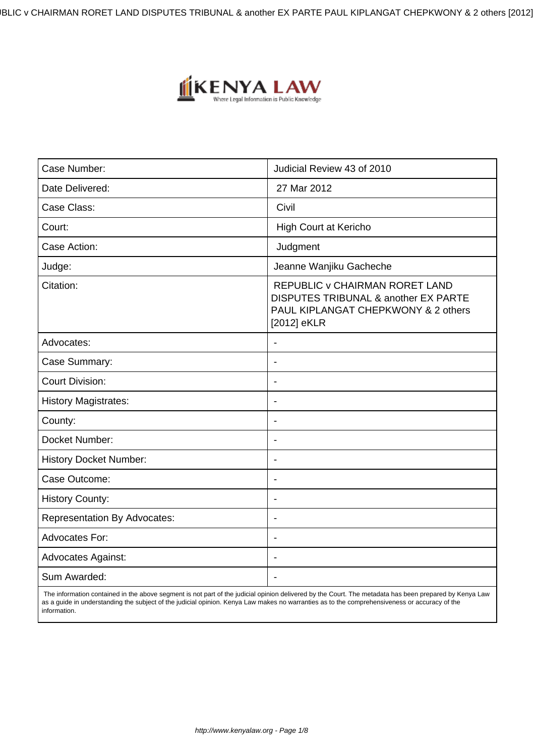IBLIC v CHAIRMAN RORET LAND DISPUTES TRIBUNAL & another EX PARTE PAUL KIPLANGAT CHEPKWONY & 2 others [2012]



| Case Number:                        | Judicial Review 43 of 2010                                                                                                   |
|-------------------------------------|------------------------------------------------------------------------------------------------------------------------------|
| Date Delivered:                     | 27 Mar 2012                                                                                                                  |
| Case Class:                         | Civil                                                                                                                        |
| Court:                              | <b>High Court at Kericho</b>                                                                                                 |
| Case Action:                        | Judgment                                                                                                                     |
| Judge:                              | Jeanne Wanjiku Gacheche                                                                                                      |
| Citation:                           | REPUBLIC v CHAIRMAN RORET LAND<br>DISPUTES TRIBUNAL & another EX PARTE<br>PAUL KIPLANGAT CHEPKWONY & 2 others<br>[2012] eKLR |
| Advocates:                          | $\blacksquare$                                                                                                               |
| Case Summary:                       | $\overline{\phantom{a}}$                                                                                                     |
| <b>Court Division:</b>              | $\blacksquare$                                                                                                               |
| <b>History Magistrates:</b>         | $\blacksquare$                                                                                                               |
| County:                             | $\overline{\phantom{0}}$                                                                                                     |
| Docket Number:                      | $\overline{\phantom{a}}$                                                                                                     |
| <b>History Docket Number:</b>       | $\blacksquare$                                                                                                               |
| Case Outcome:                       | $\overline{\phantom{a}}$                                                                                                     |
| <b>History County:</b>              | $\blacksquare$                                                                                                               |
| <b>Representation By Advocates:</b> |                                                                                                                              |
| <b>Advocates For:</b>               | $\blacksquare$                                                                                                               |
| <b>Advocates Against:</b>           | $\blacksquare$                                                                                                               |
| Sum Awarded:                        |                                                                                                                              |

 The information contained in the above segment is not part of the judicial opinion delivered by the Court. The metadata has been prepared by Kenya Law as a guide in understanding the subject of the judicial opinion. Kenya Law makes no warranties as to the comprehensiveness or accuracy of the information.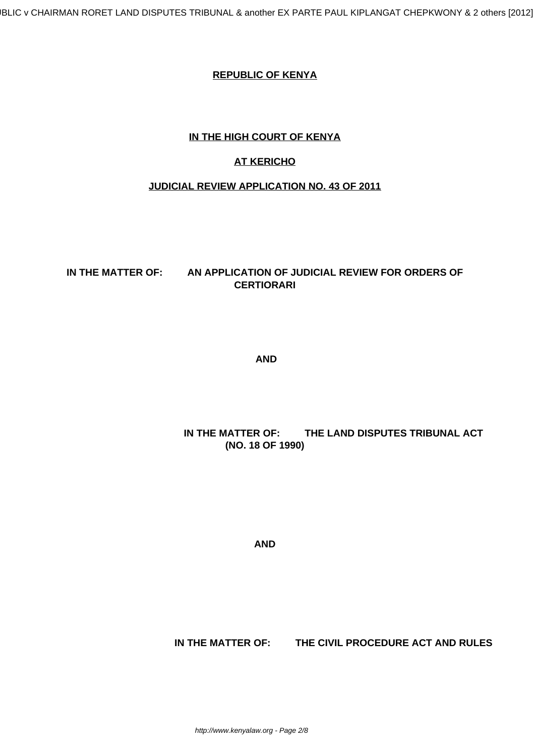#### **REPUBLIC OF KENYA**

### **IN THE HIGH COURT OF KENYA**

## **AT KERICHO**

### **JUDICIAL REVIEW APPLICATION NO. 43 OF 2011**

#### **IN THE MATTER OF: AN APPLICATION OF JUDICIAL REVIEW FOR ORDERS OF CERTIORARI**

**AND**

## **IN THE MATTER OF: THE LAND DISPUTES TRIBUNAL ACT (NO. 18 OF 1990)**

**AND**

 **IN THE MATTER OF: THE CIVIL PROCEDURE ACT AND RULES**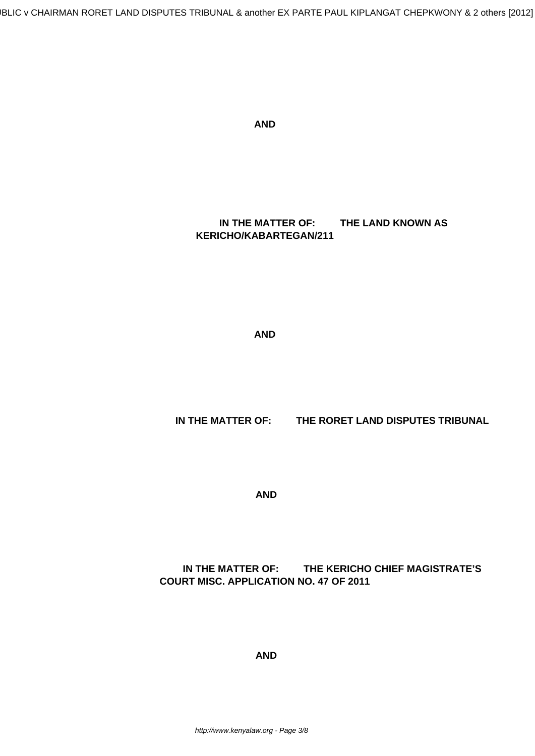BLIC v CHAIRMAN RORET LAND DISPUTES TRIBUNAL & another EX PARTE PAUL KIPLANGAT CHEPKWONY & 2 others [2012]

**AND**

 **IN THE MATTER OF: THE LAND KNOWN AS KERICHO/KABARTEGAN/211**

**AND**

 **IN THE MATTER OF: THE RORET LAND DISPUTES TRIBUNAL**

**AND**

## **IN THE MATTER OF: THE KERICHO CHIEF MAGISTRATE'S COURT MISC. APPLICATION NO. 47 OF 2011**

**AND**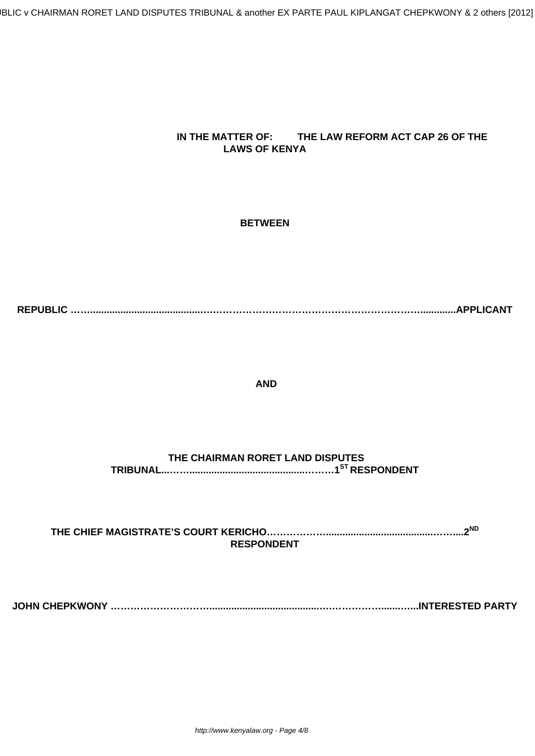BLIC v CHAIRMAN RORET LAND DISPUTES TRIBUNAL & another EX PARTE PAUL KIPLANGAT CHEPKWONY & 2 others [2012]

## **IN THE MATTER OF: THE LAW REFORM ACT CAP 26 OF THE LAWS OF KENYA**

#### **BETWEEN**

**REPUBLIC ……........................................….……………………………………………………….............APPLICANT**

#### **AND**

# **THE CHAIRMAN RORET LAND DISPUTES TRIBUNAL...……..........................................………1ST RESPONDENT**

**THE CHIEF MAGISTRATE'S COURT KERICHO……………….......................................……....2ND RESPONDENT**

**JOHN CHEPKWONY …………………………........................................….…………….......…...INTERESTED PARTY**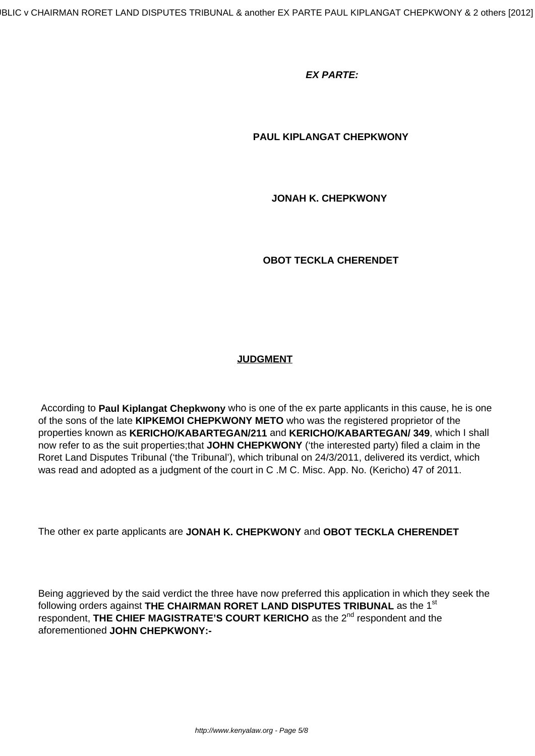#### **EX PARTE:**

#### **PAUL KIPLANGAT CHEPKWONY**

 **JONAH K. CHEPKWONY**

 **OBOT TECKLA CHERENDET**

#### **JUDGMENT**

According to **Paul Kiplangat Chepkwony** who is one of the ex parte applicants in this cause, he is one of the sons of the late **KIPKEMOI CHEPKWONY METO** who was the registered proprietor of the properties known as **KERICHO/KABARTEGAN/211** and **KERICHO/KABARTEGAN/ 349**, which I shall now refer to as the suit properties;that **JOHN CHEPKWONY** ('the interested party) filed a claim in the Roret Land Disputes Tribunal ('the Tribunal'), which tribunal on 24/3/2011, delivered its verdict, which was read and adopted as a judgment of the court in C .M C. Misc. App. No. (Kericho) 47 of 2011.

The other ex parte applicants are **JONAH K. CHEPKWONY** and **OBOT TECKLA CHERENDET**

Being aggrieved by the said verdict the three have now preferred this application in which they seek the following orders against **THE CHAIRMAN RORET LAND DISPUTES TRIBUNAL** as the 1st respondent, THE CHIEF MAGISTRATE'S COURT KERICHO as the 2<sup>nd</sup> respondent and the aforementioned **JOHN CHEPKWONY:-**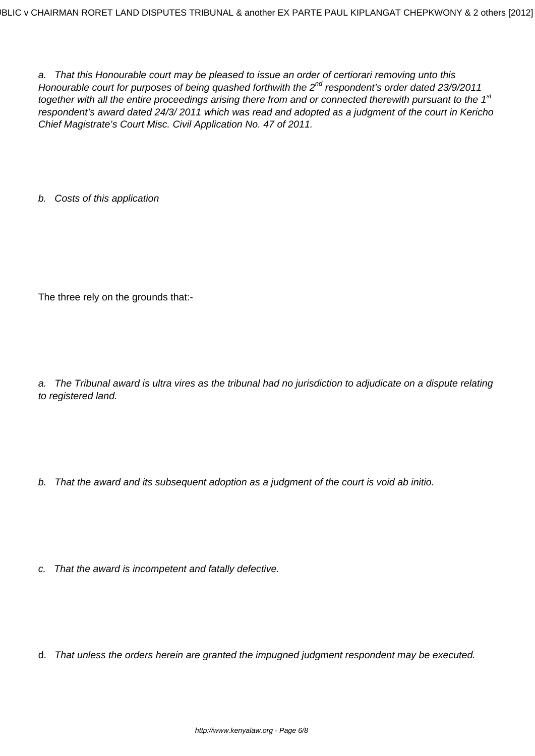a. That this Honourable court may be pleased to issue an order of certiorari removing unto this Honourable court for purposes of being quashed forthwith the  $2^{nd}$  respondent's order dated 23/9/2011 together with all the entire proceedings arising there from and or connected therewith pursuant to the 1<sup>st</sup> respondent's award dated 24/3/ 2011 which was read and adopted as a judgment of the court in Kericho Chief Magistrate's Court Misc. Civil Application No. 47 of 2011.

b. Costs of this application

The three rely on the grounds that:-

a. The Tribunal award is ultra vires as the tribunal had no jurisdiction to adjudicate on a dispute relating to registered land.

- b. That the award and its subsequent adoption as a judgment of the court is void ab initio.
- c. That the award is incompetent and fatally defective.
- d. That unless the orders herein are granted the impugned judgment respondent may be executed.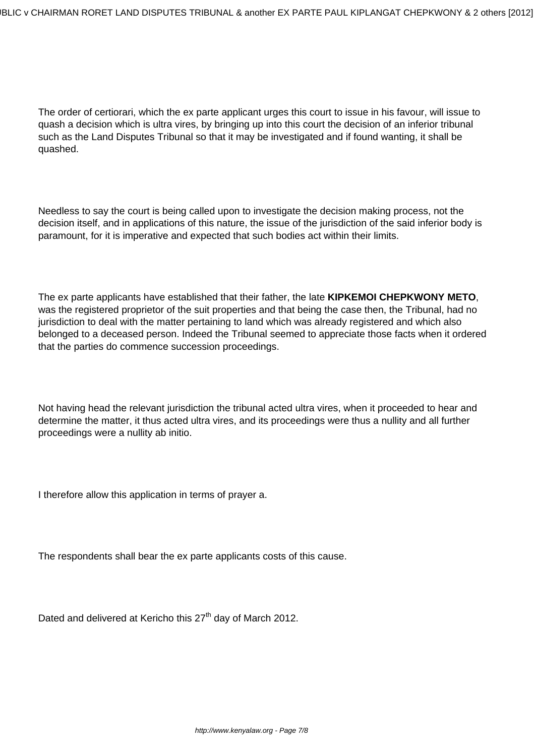The order of certiorari, which the ex parte applicant urges this court to issue in his favour, will issue to quash a decision which is ultra vires, by bringing up into this court the decision of an inferior tribunal such as the Land Disputes Tribunal so that it may be investigated and if found wanting, it shall be quashed.

Needless to say the court is being called upon to investigate the decision making process, not the decision itself, and in applications of this nature, the issue of the jurisdiction of the said inferior body is paramount, for it is imperative and expected that such bodies act within their limits.

The ex parte applicants have established that their father, the late **KIPKEMOI CHEPKWONY METO**, was the registered proprietor of the suit properties and that being the case then, the Tribunal, had no jurisdiction to deal with the matter pertaining to land which was already registered and which also belonged to a deceased person. Indeed the Tribunal seemed to appreciate those facts when it ordered that the parties do commence succession proceedings.

Not having head the relevant jurisdiction the tribunal acted ultra vires, when it proceeded to hear and determine the matter, it thus acted ultra vires, and its proceedings were thus a nullity and all further proceedings were a nullity ab initio.

I therefore allow this application in terms of prayer a.

The respondents shall bear the ex parte applicants costs of this cause.

Dated and delivered at Kericho this 27<sup>th</sup> day of March 2012.